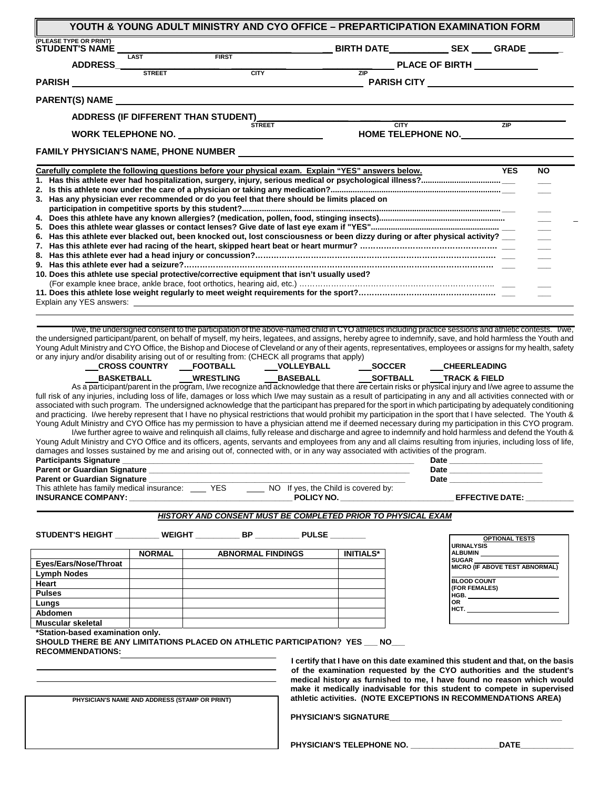| <b>STUDENT'S NAME</b>                                                                                                                                                                                                                                                                                                                                                                                                                                                                                                                                                                                                                                                                                                                                                                                                                                                                                                                                                                                                                                                                                                                                                                                                                                                                                                                                                    |                                                                                           |                                                                                                                                                                                                                                |                                                                                                                                                   |                                                      |                       |           |
|--------------------------------------------------------------------------------------------------------------------------------------------------------------------------------------------------------------------------------------------------------------------------------------------------------------------------------------------------------------------------------------------------------------------------------------------------------------------------------------------------------------------------------------------------------------------------------------------------------------------------------------------------------------------------------------------------------------------------------------------------------------------------------------------------------------------------------------------------------------------------------------------------------------------------------------------------------------------------------------------------------------------------------------------------------------------------------------------------------------------------------------------------------------------------------------------------------------------------------------------------------------------------------------------------------------------------------------------------------------------------|-------------------------------------------------------------------------------------------|--------------------------------------------------------------------------------------------------------------------------------------------------------------------------------------------------------------------------------|---------------------------------------------------------------------------------------------------------------------------------------------------|------------------------------------------------------|-----------------------|-----------|
|                                                                                                                                                                                                                                                                                                                                                                                                                                                                                                                                                                                                                                                                                                                                                                                                                                                                                                                                                                                                                                                                                                                                                                                                                                                                                                                                                                          | <b>LAST</b>                                                                               |                                                                                                                                                                                                                                |                                                                                                                                                   |                                                      |                       |           |
| ADDRESS_                                                                                                                                                                                                                                                                                                                                                                                                                                                                                                                                                                                                                                                                                                                                                                                                                                                                                                                                                                                                                                                                                                                                                                                                                                                                                                                                                                 | <b>STREET</b>                                                                             | <b>CITY</b>                                                                                                                                                                                                                    |                                                                                                                                                   | PLACE OF BIRTH ___________                           |                       |           |
|                                                                                                                                                                                                                                                                                                                                                                                                                                                                                                                                                                                                                                                                                                                                                                                                                                                                                                                                                                                                                                                                                                                                                                                                                                                                                                                                                                          |                                                                                           |                                                                                                                                                                                                                                |                                                                                                                                                   | __ PARISH CITY ___________________________________   |                       |           |
| PARENT(S) NAME And the state of the state of the state of the state of the state of the state of the state of the state of the state of the state of the state of the state of the state of the state of the state of the stat                                                                                                                                                                                                                                                                                                                                                                                                                                                                                                                                                                                                                                                                                                                                                                                                                                                                                                                                                                                                                                                                                                                                           |                                                                                           |                                                                                                                                                                                                                                |                                                                                                                                                   |                                                      |                       |           |
|                                                                                                                                                                                                                                                                                                                                                                                                                                                                                                                                                                                                                                                                                                                                                                                                                                                                                                                                                                                                                                                                                                                                                                                                                                                                                                                                                                          |                                                                                           | ADDRESS (IF DIFFERENT THAN STUDENT)                                                                                                                                                                                            |                                                                                                                                                   |                                                      |                       |           |
|                                                                                                                                                                                                                                                                                                                                                                                                                                                                                                                                                                                                                                                                                                                                                                                                                                                                                                                                                                                                                                                                                                                                                                                                                                                                                                                                                                          |                                                                                           | <b>STREET</b>                                                                                                                                                                                                                  |                                                                                                                                                   | <b>CITY</b>                                          | ZIP                   |           |
|                                                                                                                                                                                                                                                                                                                                                                                                                                                                                                                                                                                                                                                                                                                                                                                                                                                                                                                                                                                                                                                                                                                                                                                                                                                                                                                                                                          |                                                                                           | WORK TELEPHONE NO. NORTHLINE CONTROL CONTROL CONTROL CONTROL CONTROL CONTROL CONTROL CONTROL CONTROL CONTROL CONTROL CONTROL CONTROL CONTROL CONTROL CONTROL CONTROL CONTROL CONTROL CONTROL CONTROL CONTROL CONTROL CONTROL C |                                                                                                                                                   | HOME TELEPHONE NO.                                   |                       |           |
| FAMILY PHYSICIAN'S NAME, PHONE NUMBER NAME AND RESERVE AND RESERVE AND RESERVE AND RESERVE AND RESERVE AND RESERVE AND RESERVE AND RESERVE AND RESERVE AND RESERVE AND RESERVE AND RESERVE AND RESERVE AND RESERVE AND RESERVE                                                                                                                                                                                                                                                                                                                                                                                                                                                                                                                                                                                                                                                                                                                                                                                                                                                                                                                                                                                                                                                                                                                                           |                                                                                           |                                                                                                                                                                                                                                |                                                                                                                                                   |                                                      |                       |           |
| Carefully complete the following questions before your physical exam. Explain "YES" answers below.                                                                                                                                                                                                                                                                                                                                                                                                                                                                                                                                                                                                                                                                                                                                                                                                                                                                                                                                                                                                                                                                                                                                                                                                                                                                       |                                                                                           |                                                                                                                                                                                                                                |                                                                                                                                                   |                                                      | <b>YES</b>            | <b>NO</b> |
|                                                                                                                                                                                                                                                                                                                                                                                                                                                                                                                                                                                                                                                                                                                                                                                                                                                                                                                                                                                                                                                                                                                                                                                                                                                                                                                                                                          |                                                                                           |                                                                                                                                                                                                                                |                                                                                                                                                   |                                                      |                       |           |
| 3. Has any physician ever recommended or do you feel that there should be limits placed on                                                                                                                                                                                                                                                                                                                                                                                                                                                                                                                                                                                                                                                                                                                                                                                                                                                                                                                                                                                                                                                                                                                                                                                                                                                                               |                                                                                           |                                                                                                                                                                                                                                |                                                                                                                                                   |                                                      |                       |           |
|                                                                                                                                                                                                                                                                                                                                                                                                                                                                                                                                                                                                                                                                                                                                                                                                                                                                                                                                                                                                                                                                                                                                                                                                                                                                                                                                                                          |                                                                                           |                                                                                                                                                                                                                                |                                                                                                                                                   |                                                      |                       |           |
|                                                                                                                                                                                                                                                                                                                                                                                                                                                                                                                                                                                                                                                                                                                                                                                                                                                                                                                                                                                                                                                                                                                                                                                                                                                                                                                                                                          |                                                                                           |                                                                                                                                                                                                                                |                                                                                                                                                   |                                                      |                       |           |
| 6. Has this athlete ever blacked out, been knocked out, lost consciousness or been dizzy during or after physical activity?                                                                                                                                                                                                                                                                                                                                                                                                                                                                                                                                                                                                                                                                                                                                                                                                                                                                                                                                                                                                                                                                                                                                                                                                                                              |                                                                                           |                                                                                                                                                                                                                                |                                                                                                                                                   |                                                      |                       |           |
|                                                                                                                                                                                                                                                                                                                                                                                                                                                                                                                                                                                                                                                                                                                                                                                                                                                                                                                                                                                                                                                                                                                                                                                                                                                                                                                                                                          |                                                                                           |                                                                                                                                                                                                                                |                                                                                                                                                   |                                                      |                       |           |
|                                                                                                                                                                                                                                                                                                                                                                                                                                                                                                                                                                                                                                                                                                                                                                                                                                                                                                                                                                                                                                                                                                                                                                                                                                                                                                                                                                          |                                                                                           |                                                                                                                                                                                                                                |                                                                                                                                                   |                                                      |                       |           |
| 10. Does this athlete use special protective/corrective equipment that isn't usually used?                                                                                                                                                                                                                                                                                                                                                                                                                                                                                                                                                                                                                                                                                                                                                                                                                                                                                                                                                                                                                                                                                                                                                                                                                                                                               |                                                                                           |                                                                                                                                                                                                                                |                                                                                                                                                   |                                                      |                       |           |
|                                                                                                                                                                                                                                                                                                                                                                                                                                                                                                                                                                                                                                                                                                                                                                                                                                                                                                                                                                                                                                                                                                                                                                                                                                                                                                                                                                          |                                                                                           |                                                                                                                                                                                                                                |                                                                                                                                                   |                                                      |                       |           |
|                                                                                                                                                                                                                                                                                                                                                                                                                                                                                                                                                                                                                                                                                                                                                                                                                                                                                                                                                                                                                                                                                                                                                                                                                                                                                                                                                                          |                                                                                           |                                                                                                                                                                                                                                |                                                                                                                                                   |                                                      |                       |           |
|                                                                                                                                                                                                                                                                                                                                                                                                                                                                                                                                                                                                                                                                                                                                                                                                                                                                                                                                                                                                                                                                                                                                                                                                                                                                                                                                                                          |                                                                                           |                                                                                                                                                                                                                                |                                                                                                                                                   |                                                      |                       |           |
|                                                                                                                                                                                                                                                                                                                                                                                                                                                                                                                                                                                                                                                                                                                                                                                                                                                                                                                                                                                                                                                                                                                                                                                                                                                                                                                                                                          |                                                                                           | BASKETBALL _____WRESTLING ___<br>As a participant/parent in the program, I/we recognize and acknowledge that there are certain risks or physical injury and I/we agree to assume the                                           | __CROSS COUNTRY ___FOOTBALL _______VOLLEYBALL ______________SOCCER                                                                                | __CHEERLEADING                                       |                       |           |
|                                                                                                                                                                                                                                                                                                                                                                                                                                                                                                                                                                                                                                                                                                                                                                                                                                                                                                                                                                                                                                                                                                                                                                                                                                                                                                                                                                          |                                                                                           | I/we further agree to waive and relinquish all claims, fully release and discharge and agree to indemnify and hold harmless and defend the Youth &                                                                             |                                                                                                                                                   |                                                      |                       |           |
|                                                                                                                                                                                                                                                                                                                                                                                                                                                                                                                                                                                                                                                                                                                                                                                                                                                                                                                                                                                                                                                                                                                                                                                                                                                                                                                                                                          |                                                                                           |                                                                                                                                                                                                                                |                                                                                                                                                   | Date                                                 |                       |           |
|                                                                                                                                                                                                                                                                                                                                                                                                                                                                                                                                                                                                                                                                                                                                                                                                                                                                                                                                                                                                                                                                                                                                                                                                                                                                                                                                                                          |                                                                                           |                                                                                                                                                                                                                                |                                                                                                                                                   | Date $\qquad \qquad$<br>Date <u>experience</u>       |                       |           |
|                                                                                                                                                                                                                                                                                                                                                                                                                                                                                                                                                                                                                                                                                                                                                                                                                                                                                                                                                                                                                                                                                                                                                                                                                                                                                                                                                                          |                                                                                           |                                                                                                                                                                                                                                |                                                                                                                                                   |                                                      |                       |           |
|                                                                                                                                                                                                                                                                                                                                                                                                                                                                                                                                                                                                                                                                                                                                                                                                                                                                                                                                                                                                                                                                                                                                                                                                                                                                                                                                                                          |                                                                                           | <b>HISTORY AND CONSENT MUST BE COMPLETED PRIOR TO PHYSICAL EXAM</b>                                                                                                                                                            |                                                                                                                                                   |                                                      |                       |           |
|                                                                                                                                                                                                                                                                                                                                                                                                                                                                                                                                                                                                                                                                                                                                                                                                                                                                                                                                                                                                                                                                                                                                                                                                                                                                                                                                                                          |                                                                                           |                                                                                                                                                                                                                                |                                                                                                                                                   |                                                      | <b>OPTIONAL TESTS</b> |           |
|                                                                                                                                                                                                                                                                                                                                                                                                                                                                                                                                                                                                                                                                                                                                                                                                                                                                                                                                                                                                                                                                                                                                                                                                                                                                                                                                                                          | <b>NORMAL</b>                                                                             | <b>ABNORMAL FINDINGS</b>                                                                                                                                                                                                       | <b>INITIALS*</b>                                                                                                                                  | <b>URINALYSIS</b><br><b>ALBUMIN</b>                  |                       |           |
|                                                                                                                                                                                                                                                                                                                                                                                                                                                                                                                                                                                                                                                                                                                                                                                                                                                                                                                                                                                                                                                                                                                                                                                                                                                                                                                                                                          |                                                                                           |                                                                                                                                                                                                                                |                                                                                                                                                   | <b>SUGAR</b><br>MICRO (IF ABOVE TEST ABNORMAL)       |                       |           |
|                                                                                                                                                                                                                                                                                                                                                                                                                                                                                                                                                                                                                                                                                                                                                                                                                                                                                                                                                                                                                                                                                                                                                                                                                                                                                                                                                                          |                                                                                           |                                                                                                                                                                                                                                |                                                                                                                                                   | <b>BLOOD COUNT</b>                                   |                       |           |
|                                                                                                                                                                                                                                                                                                                                                                                                                                                                                                                                                                                                                                                                                                                                                                                                                                                                                                                                                                                                                                                                                                                                                                                                                                                                                                                                                                          |                                                                                           |                                                                                                                                                                                                                                |                                                                                                                                                   | (FOR FEMALES)<br>HGB. ______________________________ |                       |           |
|                                                                                                                                                                                                                                                                                                                                                                                                                                                                                                                                                                                                                                                                                                                                                                                                                                                                                                                                                                                                                                                                                                                                                                                                                                                                                                                                                                          |                                                                                           |                                                                                                                                                                                                                                |                                                                                                                                                   | OR<br>HCT.                                           |                       |           |
|                                                                                                                                                                                                                                                                                                                                                                                                                                                                                                                                                                                                                                                                                                                                                                                                                                                                                                                                                                                                                                                                                                                                                                                                                                                                                                                                                                          |                                                                                           |                                                                                                                                                                                                                                |                                                                                                                                                   |                                                      |                       |           |
|                                                                                                                                                                                                                                                                                                                                                                                                                                                                                                                                                                                                                                                                                                                                                                                                                                                                                                                                                                                                                                                                                                                                                                                                                                                                                                                                                                          |                                                                                           |                                                                                                                                                                                                                                |                                                                                                                                                   |                                                      |                       |           |
|                                                                                                                                                                                                                                                                                                                                                                                                                                                                                                                                                                                                                                                                                                                                                                                                                                                                                                                                                                                                                                                                                                                                                                                                                                                                                                                                                                          | the control of the control of the control of the control of the control of the control of |                                                                                                                                                                                                                                | I certify that I have on this date examined this student and that, on the basis                                                                   |                                                      |                       |           |
|                                                                                                                                                                                                                                                                                                                                                                                                                                                                                                                                                                                                                                                                                                                                                                                                                                                                                                                                                                                                                                                                                                                                                                                                                                                                                                                                                                          |                                                                                           |                                                                                                                                                                                                                                | of the examination requested by the CYO authorities and the student's                                                                             |                                                      |                       |           |
|                                                                                                                                                                                                                                                                                                                                                                                                                                                                                                                                                                                                                                                                                                                                                                                                                                                                                                                                                                                                                                                                                                                                                                                                                                                                                                                                                                          |                                                                                           |                                                                                                                                                                                                                                | medical history as furnished to me, I have found no reason which would<br>make it medically inadvisable for this student to compete in supervised |                                                      |                       |           |
|                                                                                                                                                                                                                                                                                                                                                                                                                                                                                                                                                                                                                                                                                                                                                                                                                                                                                                                                                                                                                                                                                                                                                                                                                                                                                                                                                                          | PHYSICIAN'S NAME AND ADDRESS (STAMP OR PRINT)                                             |                                                                                                                                                                                                                                | athletic activities. (NOTE EXCEPTIONS IN RECOMMENDATIONS AREA)                                                                                    |                                                      |                       |           |
| full risk of any injuries, including loss of life, damages or loss which I/we may sustain as a result of participating in any and all activities connected with or<br>associated with such program. The undersigned acknowledge that the participant has prepared for the sport in which participating by adequately conditioning<br>and practicing. I/we hereby represent that I have no physical restrictions that would prohibit my participation in the sport that I have selected. The Youth &<br>Young Adult Ministry and CYO Office has my permission to have a physician attend me if deemed necessary during my participation in this CYO program.<br>Young Adult Ministry and CYO Office and its officers, agents, servants and employees from any and all claims resulting from injuries, including loss of life,<br>damages and losses sustained by me and arising out of, connected with, or in any way associated with activities of the program.<br><b>Participants Signature</b><br>Parent or Guardian Signature<br>STUDENT'S HEIGHT _________ WEIGHT __________ BP _________ PULSE _______<br>Eyes/Ears/Nose/Throat<br>Lymph Nodes<br>Heart<br><b>Pulses</b><br>Lungs<br>Abdomen<br>Muscular skeletal<br>*Station-based examination only.<br>SHOULD THERE BE ANY LIMITATIONS PLACED ON ATHLETIC PARTICIPATION? YES ___ NO___<br><b>RECOMMENDATIONS:</b> |                                                                                           |                                                                                                                                                                                                                                |                                                                                                                                                   |                                                      |                       |           |
|                                                                                                                                                                                                                                                                                                                                                                                                                                                                                                                                                                                                                                                                                                                                                                                                                                                                                                                                                                                                                                                                                                                                                                                                                                                                                                                                                                          |                                                                                           |                                                                                                                                                                                                                                |                                                                                                                                                   |                                                      |                       |           |